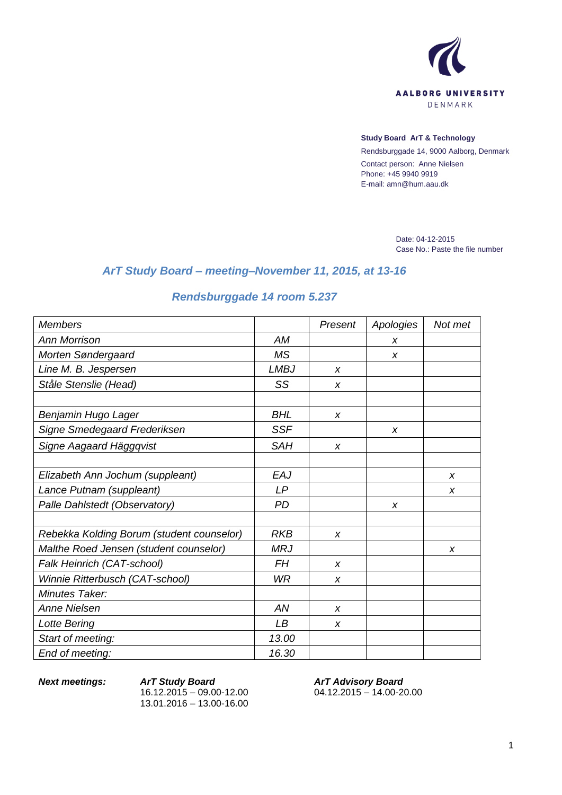

## **Study Board ArT & Technology**

Rendsburggade 14, 9000 Aalborg, Denmark Contact person: Anne Nielsen Phone: +45 9940 9919 E-mail: amn@hum.aau.dk

> Date: 04-12-2015 Case No.: Paste the file number

## *ArT Study Board – meeting–November 11, 2015, at 13-16*

## *Rendsburggade 14 room 5.237*

| <b>Members</b>                            |             | Present          | Apologies | Not met |
|-------------------------------------------|-------------|------------------|-----------|---------|
| <b>Ann Morrison</b>                       | AM          |                  | X         |         |
| Morten Søndergaard                        | <b>MS</b>   |                  | X         |         |
| Line M. B. Jespersen                      | <b>LMBJ</b> | $\boldsymbol{x}$ |           |         |
| Ståle Stenslie (Head)                     | SS          | $\boldsymbol{x}$ |           |         |
|                                           |             |                  |           |         |
| Benjamin Hugo Lager                       | <b>BHL</b>  | $\boldsymbol{x}$ |           |         |
| Signe Smedegaard Frederiksen              | <b>SSF</b>  |                  | X         |         |
| Signe Aagaard Häggqvist                   | <b>SAH</b>  | $\boldsymbol{x}$ |           |         |
|                                           |             |                  |           |         |
| Elizabeth Ann Jochum (suppleant)          | EAJ         |                  |           | x       |
| Lance Putnam (suppleant)                  | LP          |                  |           | X       |
| Palle Dahlstedt (Observatory)             | <b>PD</b>   |                  | X         |         |
|                                           |             |                  |           |         |
| Rebekka Kolding Borum (student counselor) | <b>RKB</b>  | $\boldsymbol{x}$ |           |         |
| Malthe Roed Jensen (student counselor)    | <b>MRJ</b>  |                  |           | x       |
| Falk Heinrich (CAT-school)                | <b>FH</b>   | $\boldsymbol{x}$ |           |         |
| Winnie Ritterbusch (CAT-school)           | WR          | X                |           |         |
| Minutes Taker:                            |             |                  |           |         |
| <b>Anne Nielsen</b>                       | AN          | X                |           |         |
| Lotte Bering                              | LB          | X                |           |         |
| Start of meeting:                         | 13.00       |                  |           |         |
| End of meeting:                           | 16.30       |                  |           |         |

*Next meetings: ArT Study Board* 16.12.2015 – 09.00-12.00 13.01.2016 – 13.00-16.00

*ArT Advisory Board* 04.12.2015 – 14.00-20.00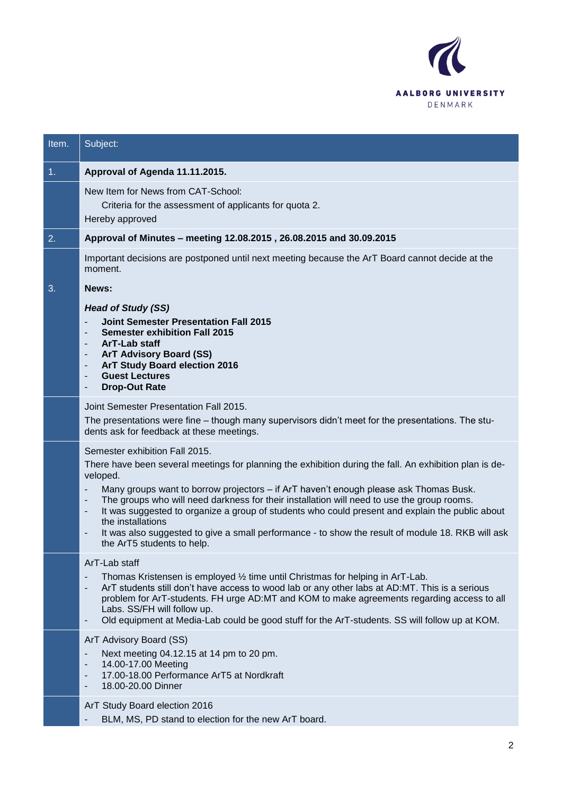

| Item. | Subject:                                                                                                                                                                                                                                                                                                                                                                                                                                                                                                                                                                                                                                                                                    |
|-------|---------------------------------------------------------------------------------------------------------------------------------------------------------------------------------------------------------------------------------------------------------------------------------------------------------------------------------------------------------------------------------------------------------------------------------------------------------------------------------------------------------------------------------------------------------------------------------------------------------------------------------------------------------------------------------------------|
| 1.    | Approval of Agenda 11.11.2015.                                                                                                                                                                                                                                                                                                                                                                                                                                                                                                                                                                                                                                                              |
|       | New Item for News from CAT-School:<br>Criteria for the assessment of applicants for quota 2.<br>Hereby approved                                                                                                                                                                                                                                                                                                                                                                                                                                                                                                                                                                             |
| 2.    | Approval of Minutes - meeting 12.08.2015, 26.08.2015 and 30.09.2015                                                                                                                                                                                                                                                                                                                                                                                                                                                                                                                                                                                                                         |
|       | Important decisions are postponed until next meeting because the ArT Board cannot decide at the<br>moment.                                                                                                                                                                                                                                                                                                                                                                                                                                                                                                                                                                                  |
| 3.    | News:                                                                                                                                                                                                                                                                                                                                                                                                                                                                                                                                                                                                                                                                                       |
|       | <b>Head of Study (SS)</b><br><b>Joint Semester Presentation Fall 2015</b><br><b>Semester exhibition Fall 2015</b><br>$\overline{\phantom{a}}$<br>ArT-Lab staff<br>$\overline{\phantom{a}}$<br><b>ArT Advisory Board (SS)</b><br>$\overline{\phantom{a}}$<br>ArT Study Board election 2016<br>$\overline{\phantom{a}}$<br><b>Guest Lectures</b><br>$\overline{\phantom{a}}$<br><b>Drop-Out Rate</b><br>۰                                                                                                                                                                                                                                                                                     |
|       | Joint Semester Presentation Fall 2015.<br>The presentations were fine – though many supervisors didn't meet for the presentations. The stu-<br>dents ask for feedback at these meetings.                                                                                                                                                                                                                                                                                                                                                                                                                                                                                                    |
|       | Semester exhibition Fall 2015.<br>There have been several meetings for planning the exhibition during the fall. An exhibition plan is de-<br>veloped.<br>Many groups want to borrow projectors - if ArT haven't enough please ask Thomas Busk.<br>The groups who will need darkness for their installation will need to use the group rooms.<br>$\overline{\phantom{a}}$<br>It was suggested to organize a group of students who could present and explain the public about<br>$\overline{\phantom{a}}$<br>the installations<br>It was also suggested to give a small performance - to show the result of module 18. RKB will ask<br>$\overline{\phantom{a}}$<br>the ArT5 students to help. |
|       | ArT-Lab staff<br>Thomas Kristensen is employed 1/2 time until Christmas for helping in ArT-Lab.<br>ArT students still don't have access to wood lab or any other labs at AD:MT. This is a serious<br>$\overline{\phantom{a}}$<br>problem for ArT-students. FH urge AD:MT and KOM to make agreements regarding access to all<br>Labs. SS/FH will follow up.<br>Old equipment at Media-Lab could be good stuff for the ArT-students. SS will follow up at KOM.<br>$\overline{\phantom{a}}$                                                                                                                                                                                                    |
|       | ArT Advisory Board (SS)<br>Next meeting 04.12.15 at 14 pm to 20 pm.<br>14.00-17.00 Meeting<br>$\overline{\phantom{a}}$<br>17.00-18.00 Performance ArT5 at Nordkraft<br>$\overline{\phantom{a}}$<br>18.00-20.00 Dinner<br>-                                                                                                                                                                                                                                                                                                                                                                                                                                                                  |
|       | ArT Study Board election 2016<br>BLM, MS, PD stand to election for the new ArT board.                                                                                                                                                                                                                                                                                                                                                                                                                                                                                                                                                                                                       |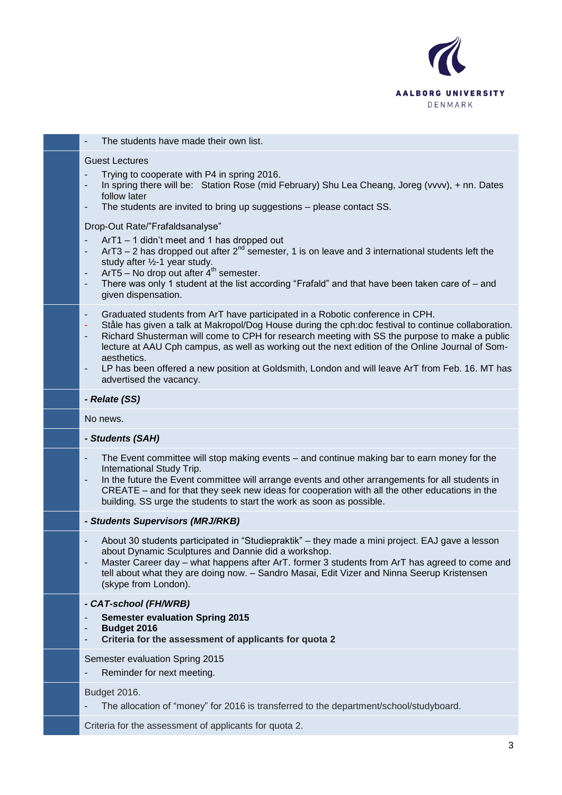

| The students have made their own list.                                                                                                                                                                                                                                                                                                                                                                                                                                                                                                                                                                   |
|----------------------------------------------------------------------------------------------------------------------------------------------------------------------------------------------------------------------------------------------------------------------------------------------------------------------------------------------------------------------------------------------------------------------------------------------------------------------------------------------------------------------------------------------------------------------------------------------------------|
| <b>Guest Lectures</b><br>Trying to cooperate with P4 in spring 2016.<br>In spring there will be: Station Rose (mid February) Shu Lea Cheang, Joreg (vvvv), + nn. Dates<br>follow later<br>The students are invited to bring up suggestions - please contact SS.                                                                                                                                                                                                                                                                                                                                          |
| Drop-Out Rate/"Frafaldsanalyse"<br>ArT1 - 1 didn't meet and 1 has dropped out<br>ArT3 – 2 has dropped out after $2^{nd}$ semester, 1 is on leave and 3 international students left the<br>$\overline{\phantom{a}}$<br>study after 1/2-1 year study.<br>$ArT5 - No drop out after 4th semester.$<br>-<br>There was only 1 student at the list according "Frafald" and that have been taken care of - and<br>-<br>given dispensation.                                                                                                                                                                      |
| Graduated students from ArT have participated in a Robotic conference in CPH.<br>٠<br>Ståle has given a talk at Makropol/Dog House during the cph:doc festival to continue collaboration.<br>٠<br>Richard Shusterman will come to CPH for research meeting with SS the purpose to make a public<br>$\overline{\phantom{a}}$<br>lecture at AAU Cph campus, as well as working out the next edition of the Online Journal of Som-<br>aesthetics.<br>LP has been offered a new position at Goldsmith, London and will leave ArT from Feb. 16. MT has<br>$\overline{\phantom{a}}$<br>advertised the vacancy. |
| - Relate (SS)                                                                                                                                                                                                                                                                                                                                                                                                                                                                                                                                                                                            |
| No news.                                                                                                                                                                                                                                                                                                                                                                                                                                                                                                                                                                                                 |
| - Students (SAH)                                                                                                                                                                                                                                                                                                                                                                                                                                                                                                                                                                                         |
| The Event committee will stop making events – and continue making bar to earn money for the<br>International Study Trip.<br>In the future the Event committee will arrange events and other arrangements for all students in<br>CREATE – and for that they seek new ideas for cooperation with all the other educations in the<br>building. SS urge the students to start the work as soon as possible.                                                                                                                                                                                                  |
| - Students Supervisors (MRJ/RKB)                                                                                                                                                                                                                                                                                                                                                                                                                                                                                                                                                                         |
| About 30 students participated in "Studiepraktik" – they made a mini project. EAJ gave a lesson<br>about Dynamic Sculptures and Dannie did a workshop.<br>Master Career day - what happens after ArT. former 3 students from ArT has agreed to come and<br>tell about what they are doing now. - Sandro Masai, Edit Vizer and Ninna Seerup Kristensen<br>(skype from London).                                                                                                                                                                                                                            |
| - CAT-school (FH/WRB)<br><b>Semester evaluation Spring 2015</b><br>Budget 2016<br>Criteria for the assessment of applicants for quota 2                                                                                                                                                                                                                                                                                                                                                                                                                                                                  |
| Semester evaluation Spring 2015<br>Reminder for next meeting.                                                                                                                                                                                                                                                                                                                                                                                                                                                                                                                                            |
| Budget 2016.<br>The allocation of "money" for 2016 is transferred to the department/school/studyboard.                                                                                                                                                                                                                                                                                                                                                                                                                                                                                                   |
| Criteria for the assessment of applicants for quota 2.                                                                                                                                                                                                                                                                                                                                                                                                                                                                                                                                                   |
|                                                                                                                                                                                                                                                                                                                                                                                                                                                                                                                                                                                                          |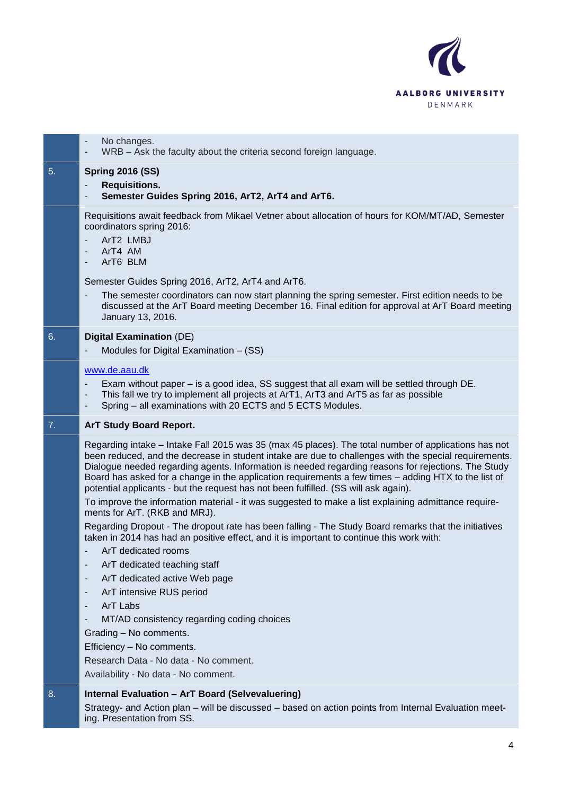

|                  | No changes.<br>WRB - Ask the faculty about the criteria second foreign language.                                                                                                                                                                                                                                                                                                                                                                                                                                                                                                                                                                                                                                                                                                                                                                                                                                                                                                      |
|------------------|---------------------------------------------------------------------------------------------------------------------------------------------------------------------------------------------------------------------------------------------------------------------------------------------------------------------------------------------------------------------------------------------------------------------------------------------------------------------------------------------------------------------------------------------------------------------------------------------------------------------------------------------------------------------------------------------------------------------------------------------------------------------------------------------------------------------------------------------------------------------------------------------------------------------------------------------------------------------------------------|
| 5.               | <b>Spring 2016 (SS)</b><br><b>Requisitions.</b><br>Semester Guides Spring 2016, ArT2, ArT4 and ArT6.                                                                                                                                                                                                                                                                                                                                                                                                                                                                                                                                                                                                                                                                                                                                                                                                                                                                                  |
|                  | Requisitions await feedback from Mikael Vetner about allocation of hours for KOM/MT/AD, Semester<br>coordinators spring 2016:<br>ArT2 LMBJ<br>ArT4 AM<br>ArT6 BLM                                                                                                                                                                                                                                                                                                                                                                                                                                                                                                                                                                                                                                                                                                                                                                                                                     |
|                  | Semester Guides Spring 2016, ArT2, ArT4 and ArT6.<br>The semester coordinators can now start planning the spring semester. First edition needs to be<br>$\overline{\phantom{m}}$                                                                                                                                                                                                                                                                                                                                                                                                                                                                                                                                                                                                                                                                                                                                                                                                      |
|                  | discussed at the ArT Board meeting December 16. Final edition for approval at ArT Board meeting<br>January 13, 2016.                                                                                                                                                                                                                                                                                                                                                                                                                                                                                                                                                                                                                                                                                                                                                                                                                                                                  |
| 6.               | <b>Digital Examination (DE)</b><br>Modules for Digital Examination - (SS)                                                                                                                                                                                                                                                                                                                                                                                                                                                                                                                                                                                                                                                                                                                                                                                                                                                                                                             |
|                  | www.de.aau.dk                                                                                                                                                                                                                                                                                                                                                                                                                                                                                                                                                                                                                                                                                                                                                                                                                                                                                                                                                                         |
|                  | Exam without paper – is a good idea, SS suggest that all exam will be settled through DE.<br>This fall we try to implement all projects at ArT1, ArT3 and ArT5 as far as possible<br>Spring - all examinations with 20 ECTS and 5 ECTS Modules.<br>۰                                                                                                                                                                                                                                                                                                                                                                                                                                                                                                                                                                                                                                                                                                                                  |
| $\overline{7}$ . | <b>ArT Study Board Report.</b>                                                                                                                                                                                                                                                                                                                                                                                                                                                                                                                                                                                                                                                                                                                                                                                                                                                                                                                                                        |
|                  | Regarding intake – Intake Fall 2015 was 35 (max 45 places). The total number of applications has not<br>been reduced, and the decrease in student intake are due to challenges with the special requirements.<br>Dialogue needed regarding agents. Information is needed regarding reasons for rejections. The Study<br>Board has asked for a change in the application requirements a few times - adding HTX to the list of<br>potential applicants - but the request has not been fulfilled. (SS will ask again).<br>To improve the information material - it was suggested to make a list explaining admittance require-<br>ments for ArT. (RKB and MRJ).<br>Regarding Dropout - The dropout rate has been falling - The Study Board remarks that the initiatives<br>taken in 2014 has had an positive effect, and it is important to continue this work with:<br>ArT dedicated rooms<br>ArT dedicated teaching staff<br>ArT dedicated active Web page<br>ArT intensive RUS period |
|                  | ArT Labs<br>٠                                                                                                                                                                                                                                                                                                                                                                                                                                                                                                                                                                                                                                                                                                                                                                                                                                                                                                                                                                         |
|                  | MT/AD consistency regarding coding choices                                                                                                                                                                                                                                                                                                                                                                                                                                                                                                                                                                                                                                                                                                                                                                                                                                                                                                                                            |
|                  | Grading - No comments.<br>Efficiency - No comments.                                                                                                                                                                                                                                                                                                                                                                                                                                                                                                                                                                                                                                                                                                                                                                                                                                                                                                                                   |
|                  | Research Data - No data - No comment.                                                                                                                                                                                                                                                                                                                                                                                                                                                                                                                                                                                                                                                                                                                                                                                                                                                                                                                                                 |
|                  | Availability - No data - No comment.                                                                                                                                                                                                                                                                                                                                                                                                                                                                                                                                                                                                                                                                                                                                                                                                                                                                                                                                                  |
| 8.               | Internal Evaluation - ArT Board (Selvevaluering)                                                                                                                                                                                                                                                                                                                                                                                                                                                                                                                                                                                                                                                                                                                                                                                                                                                                                                                                      |
|                  | Strategy- and Action plan - will be discussed - based on action points from Internal Evaluation meet-<br>ing. Presentation from SS.                                                                                                                                                                                                                                                                                                                                                                                                                                                                                                                                                                                                                                                                                                                                                                                                                                                   |